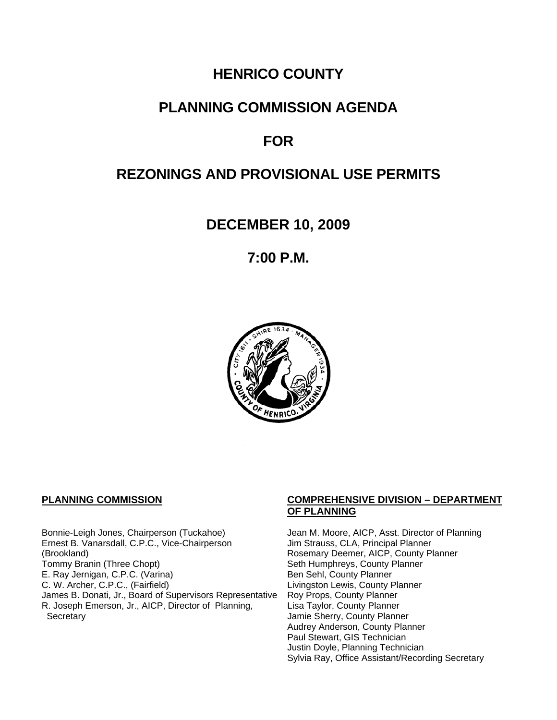# **HENRICO COUNTY**

## **PLANNING COMMISSION AGENDA**

## *FOR*

## **REZONINGS AND PROVISIONAL USE PERMITS**

**DECEMBER 10, 2009** 

**7:00 P.M.** 



Bonnie-Leigh Jones, Chairperson (Tuckahoe) Jean M. Moore, AICP, Asst. Director of Planning Ernest B. Vanarsdall, C.P.C., Vice-Chairperson Jim Strauss, CLA, Principal Planner (Brookland) Rosemary Deemer, AICP, County Planner Tommy Branin (Three Chopt) Seth Humphreys, County Planner E. Ray Jernigan, C.P.C. (Varina) Ben Sehl, County Planner<br>
C. W. Archer, C.P.C., (Fairfield) Ben Sehl, County Founty F James B. Donati, Jr., Board of Supervisors Representative R. Joseph Emerson, Jr., AICP, Director of Planning, **Secretary** 

#### **PLANNING COMMISSION COMPREHENSIVE DIVISION – DEPARTMENT OF PLANNING**

Livingston Lewis, County Planner<br>Roy Props, County Planner Lisa Taylor, County Planner Jamie Sherry, County Planner Audrey Anderson, County Planner Paul Stewart, GIS Technician Justin Doyle, Planning Technician Sylvia Ray, Office Assistant/Recording Secretary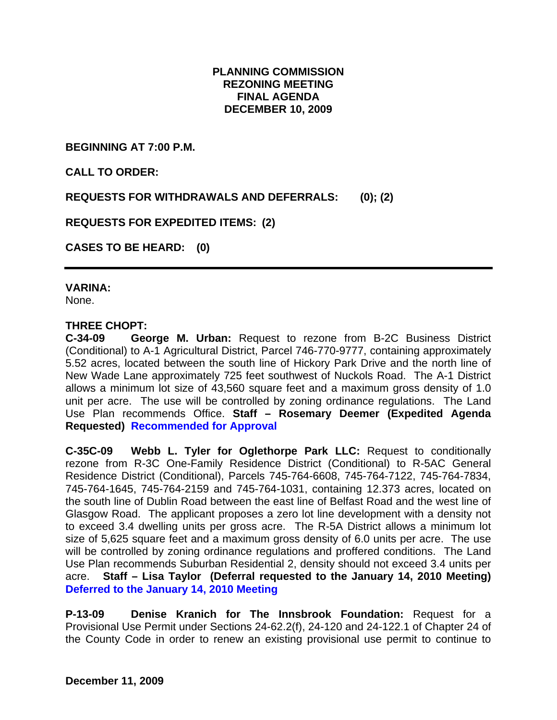### **PLANNING COMMISSION REZONING MEETING FINAL AGENDA DECEMBER 10, 2009**

**BEGINNING AT 7:00 P.M.** 

**CALL TO ORDER:** 

**REQUESTS FOR WITHDRAWALS AND DEFERRALS: (0); (2)** 

**REQUESTS FOR EXPEDITED ITEMS: (2)** 

**CASES TO BE HEARD: (0)** 

#### **VARINA:**

None.

#### **THREE CHOPT:**

**C-34-09 George M. Urban:** Request to rezone from B-2C Business District (Conditional) to A-1 Agricultural District, Parcel 746-770-9777, containing approximately 5.52 acres, located between the south line of Hickory Park Drive and the north line of New Wade Lane approximately 725 feet southwest of Nuckols Road. The A-1 District allows a minimum lot size of 43,560 square feet and a maximum gross density of 1.0 unit per acre. The use will be controlled by zoning ordinance regulations. The Land Use Plan recommends Office. **Staff – Rosemary Deemer (Expedited Agenda Requested) Recommended for Approval**

**C-35C-09 Webb L. Tyler for Oglethorpe Park LLC:** Request to conditionally rezone from R-3C One-Family Residence District (Conditional) to R-5AC General Residence District (Conditional), Parcels 745-764-6608, 745-764-7122, 745-764-7834, 745-764-1645, 745-764-2159 and 745-764-1031, containing 12.373 acres, located on the south line of Dublin Road between the east line of Belfast Road and the west line of Glasgow Road. The applicant proposes a zero lot line development with a density not to exceed 3.4 dwelling units per gross acre. The R-5A District allows a minimum lot size of 5,625 square feet and a maximum gross density of 6.0 units per acre. The use will be controlled by zoning ordinance regulations and proffered conditions. The Land Use Plan recommends Suburban Residential 2, density should not exceed 3.4 units per acre. **Staff – Lisa Taylor (Deferral requested to the January 14, 2010 Meeting) Deferred to the January 14, 2010 Meeting** 

**P-13-09 Denise Kranich for The Innsbrook Foundation:** Request for a Provisional Use Permit under Sections 24-62.2(f), 24-120 and 24-122.1 of Chapter 24 of the County Code in order to renew an existing provisional use permit to continue to